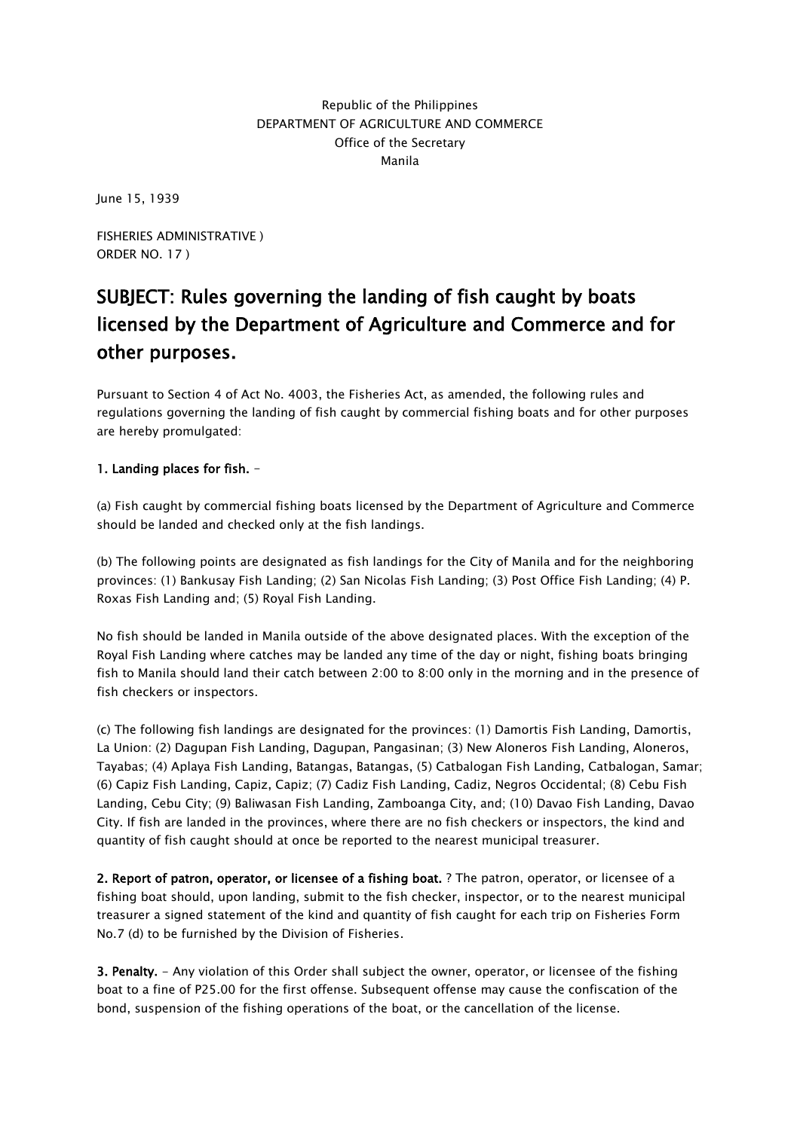## Republic of the Philippines DEPARTMENT OF AGRICULTURE AND COMMERCE Office of the Secretary Manila

June 15, 1939

FISHERIES ADMINISTRATIVE ) ORDER NO. 17 )

## SUBJECT: Rules governing the landing of fish caught by boats licensed by the Department of Agriculture and Commerce and for other purposes.

Pursuant to Section 4 of Act No. 4003, the Fisheries Act, as amended, the following rules and regulations governing the landing of fish caught by commercial fishing boats and for other purposes are hereby promulgated:

## 1. Landing places for fish. -

(a) Fish caught by commercial fishing boats licensed by the Department of Agriculture and Commerce should be landed and checked only at the fish landings.

(b) The following points are designated as fish landings for the City of Manila and for the neighboring provinces: (1) Bankusay Fish Landing; (2) San Nicolas Fish Landing; (3) Post Office Fish Landing; (4) P. Roxas Fish Landing and; (5) Royal Fish Landing.

No fish should be landed in Manila outside of the above designated places. With the exception of the Royal Fish Landing where catches may be landed any time of the day or night, fishing boats bringing fish to Manila should land their catch between 2:00 to 8:00 only in the morning and in the presence of fish checkers or inspectors.

(c) The following fish landings are designated for the provinces: (1) Damortis Fish Landing, Damortis, La Union: (2) Dagupan Fish Landing, Dagupan, Pangasinan; (3) New Aloneros Fish Landing, Aloneros, Tayabas; (4) Aplaya Fish Landing, Batangas, Batangas, (5) Catbalogan Fish Landing, Catbalogan, Samar; (6) Capiz Fish Landing, Capiz, Capiz; (7) Cadiz Fish Landing, Cadiz, Negros Occidental; (8) Cebu Fish Landing, Cebu City; (9) Baliwasan Fish Landing, Zamboanga City, and; (10) Davao Fish Landing, Davao City. If fish are landed in the provinces, where there are no fish checkers or inspectors, the kind and quantity of fish caught should at once be reported to the nearest municipal treasurer.

2. Report of patron, operator, or licensee of a fishing boat. ? The patron, operator, or licensee of a fishing boat should, upon landing, submit to the fish checker, inspector, or to the nearest municipal treasurer a signed statement of the kind and quantity of fish caught for each trip on Fisheries Form No.7 (d) to be furnished by the Division of Fisheries.

3. Penalty. - Any violation of this Order shall subject the owner, operator, or licensee of the fishing boat to a fine of P25.00 for the first offense. Subsequent offense may cause the confiscation of the bond, suspension of the fishing operations of the boat, or the cancellation of the license.